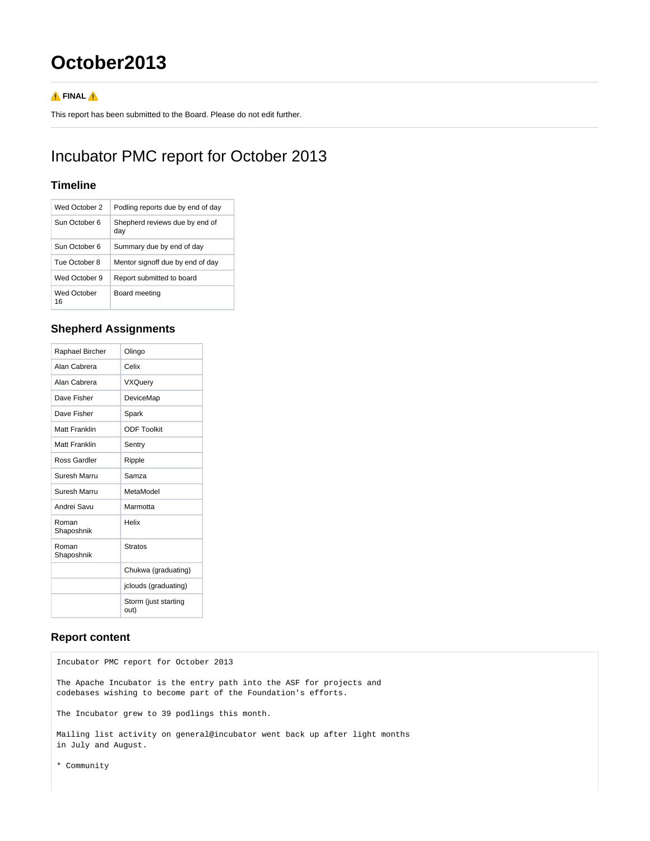# **October2013**

#### **A**FINAL **A**

This report has been submitted to the Board. Please do not edit further.

## Incubator PMC report for October 2013

#### **Timeline**

| Wed October 2     | Podling reports due by end of day     |  |
|-------------------|---------------------------------------|--|
| Sun October 6     | Shepherd reviews due by end of<br>day |  |
| Sun October 6     | Summary due by end of day             |  |
| Tue October 8     | Mentor signoff due by end of day      |  |
| Wed October 9     | Report submitted to board             |  |
| Wed October<br>16 | Board meeting                         |  |

### **Shepherd Assignments**

| Raphael Bircher     | Olingo                       |  |  |
|---------------------|------------------------------|--|--|
| Alan Cabrera        | Celix                        |  |  |
| Alan Cabrera        | <b>VXQuery</b>               |  |  |
| Dave Fisher         | DeviceMap                    |  |  |
| Dave Fisher         | Spark                        |  |  |
| Matt Franklin       | <b>ODF Toolkit</b>           |  |  |
| Matt Franklin       | Sentry                       |  |  |
| Ross Gardler        | Ripple                       |  |  |
| Suresh Marru        | Samza                        |  |  |
| Suresh Marru        | MetaModel                    |  |  |
| Andrei Savu         | Marmotta                     |  |  |
| Roman<br>Shaposhnik | Helix                        |  |  |
| Roman<br>Shaposhnik | <b>Stratos</b>               |  |  |
|                     | Chukwa (graduating)          |  |  |
|                     | jclouds (graduating)         |  |  |
|                     | Storm (just starting<br>out) |  |  |

### **Report content**

Incubator PMC report for October 2013 The Apache Incubator is the entry path into the ASF for projects and codebases wishing to become part of the Foundation's efforts. The Incubator grew to 39 podlings this month. Mailing list activity on general@incubator went back up after light months in July and August.

\* Community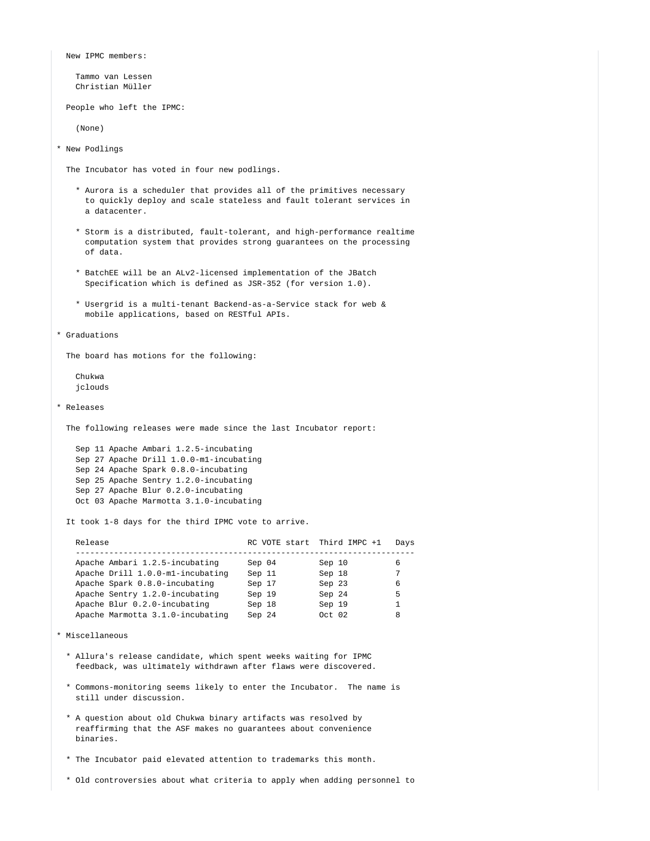New IPMC members:

 Tammo van Lessen Christian Müller

People who left the IPMC:

(None)

\* New Podlings

The Incubator has voted in four new podlings.

- \* Aurora is a scheduler that provides all of the primitives necessary to quickly deploy and scale stateless and fault tolerant services in a datacenter.
- \* Storm is a distributed, fault-tolerant, and high-performance realtime computation system that provides strong guarantees on the processing of data.
- \* BatchEE will be an ALv2-licensed implementation of the JBatch Specification which is defined as JSR-352 (for version 1.0).
- \* Usergrid is a multi-tenant Backend-as-a-Service stack for web & mobile applications, based on RESTful APIs.

```
* Graduations
```
The board has motions for the following:

 Chukwa jclouds

\* Releases

The following releases were made since the last Incubator report:

 Sep 11 Apache Ambari 1.2.5-incubating Sep 27 Apache Drill 1.0.0-m1-incubating Sep 24 Apache Spark 0.8.0-incubating Sep 25 Apache Sentry 1.2.0-incubating Sep 27 Apache Blur 0.2.0-incubating Oct 03 Apache Marmotta 3.1.0-incubating

It took 1-8 days for the third IPMC vote to arrive.

| Release                          | RC VOTE start Third IMPC +1 |         | Davs |
|----------------------------------|-----------------------------|---------|------|
| Apache Ambari 1.2.5-incubating   | Sep 04                      | Sep 10  | 6    |
| Apache Drill 1.0.0-ml-incubating | Sep 11                      | Sep 18  |      |
| Apache Spark 0.8.0-incubating    | Sep 17                      | Sep 23  | 6    |
| Apache Sentry 1.2.0-incubating   | Sep 19                      | Sep 24  | 5    |
| Apache Blur 0.2.0-incubating     | Sep 18                      | Sep 19  |      |
| Apache Marmotta 3.1.0-incubating | Sep 24                      | Oct. 02 | 8    |

```
* Miscellaneous
```
- \* Allura's release candidate, which spent weeks waiting for IPMC feedback, was ultimately withdrawn after flaws were discovered.
- \* Commons-monitoring seems likely to enter the Incubator. The name is still under discussion.
- \* A question about old Chukwa binary artifacts was resolved by reaffirming that the ASF makes no guarantees about convenience binaries.
- \* The Incubator paid elevated attention to trademarks this month.
- \* Old controversies about what criteria to apply when adding personnel to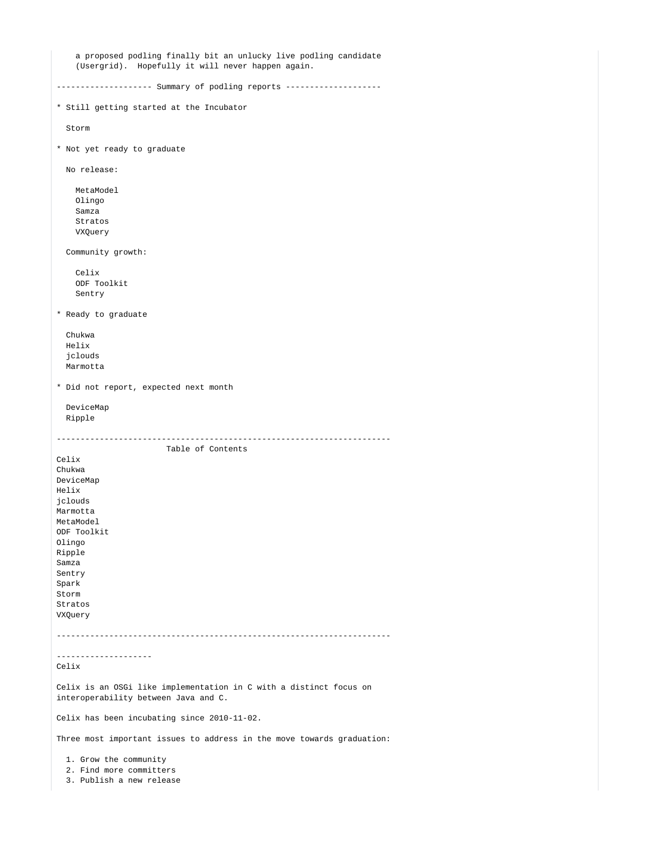```
 a proposed podling finally bit an unlucky live podling candidate
     (Usergrid). Hopefully it will never happen again.
------------------- Summary of podling reports --------------------
* Still getting started at the Incubator
   Storm
* Not yet ready to graduate
  No release:
    MetaModel
    Olingo
    Samza
    Stratos
    VXQuery
   Community growth:
    Celix
    ODF Toolkit
    Sentry
* Ready to graduate
   Chukwa
  Helix
   jclouds
  Marmotta
* Did not report, expected next month
  DeviceMap
  Ripple
----------------------------------------------------------------------
                       Table of Contents
Celix
Chukwa
DeviceMap
Helix
jclouds
Marmotta
MetaModel
ODF Toolkit
Olingo
Ripple
Samza
Sentry
Spark
Storm
Stratos
VXQuery
----------------------------------------------------------------------
--------------------
Celix
Celix is an OSGi like implementation in C with a distinct focus on
interoperability between Java and C.
Celix has been incubating since 2010-11-02.
Three most important issues to address in the move towards graduation:
   1. Grow the community
   2. Find more committers
   3. Publish a new release
```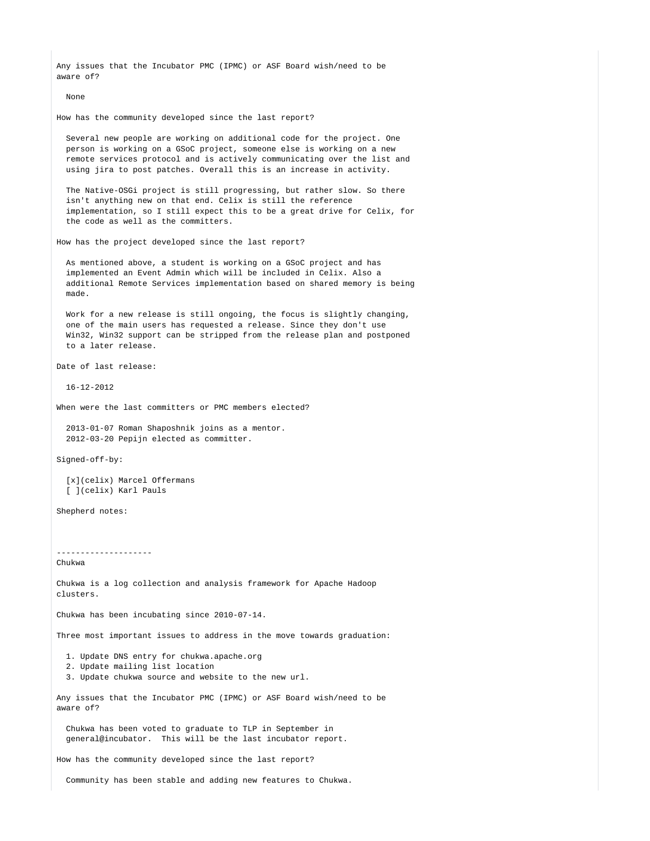Any issues that the Incubator PMC (IPMC) or ASF Board wish/need to be aware of?

None

How has the community developed since the last report?

 Several new people are working on additional code for the project. One person is working on a GSoC project, someone else is working on a new remote services protocol and is actively communicating over the list and using jira to post patches. Overall this is an increase in activity.

 The Native-OSGi project is still progressing, but rather slow. So there isn't anything new on that end. Celix is still the reference implementation, so I still expect this to be a great drive for Celix, for the code as well as the committers.

How has the project developed since the last report?

 As mentioned above, a student is working on a GSoC project and has implemented an Event Admin which will be included in Celix. Also a additional Remote Services implementation based on shared memory is being made.

 Work for a new release is still ongoing, the focus is slightly changing, one of the main users has requested a release. Since they don't use Win32, Win32 support can be stripped from the release plan and postponed to a later release.

Date of last release:

16-12-2012

When were the last committers or PMC members elected?

 2013-01-07 Roman Shaposhnik joins as a mentor. 2012-03-20 Pepijn elected as committer.

Signed-off-by:

 [x](celix) Marcel Offermans [ ](celix) Karl Pauls

Shepherd notes:

-------------------- Chukwa

Chukwa is a log collection and analysis framework for Apache Hadoop clusters.

Chukwa has been incubating since 2010-07-14.

Three most important issues to address in the move towards graduation:

- 1. Update DNS entry for chukwa.apache.org
- 2. Update mailing list location
- 3. Update chukwa source and website to the new url.

Any issues that the Incubator PMC (IPMC) or ASF Board wish/need to be aware of?

 Chukwa has been voted to graduate to TLP in September in general@incubator. This will be the last incubator report.

How has the community developed since the last report?

Community has been stable and adding new features to Chukwa.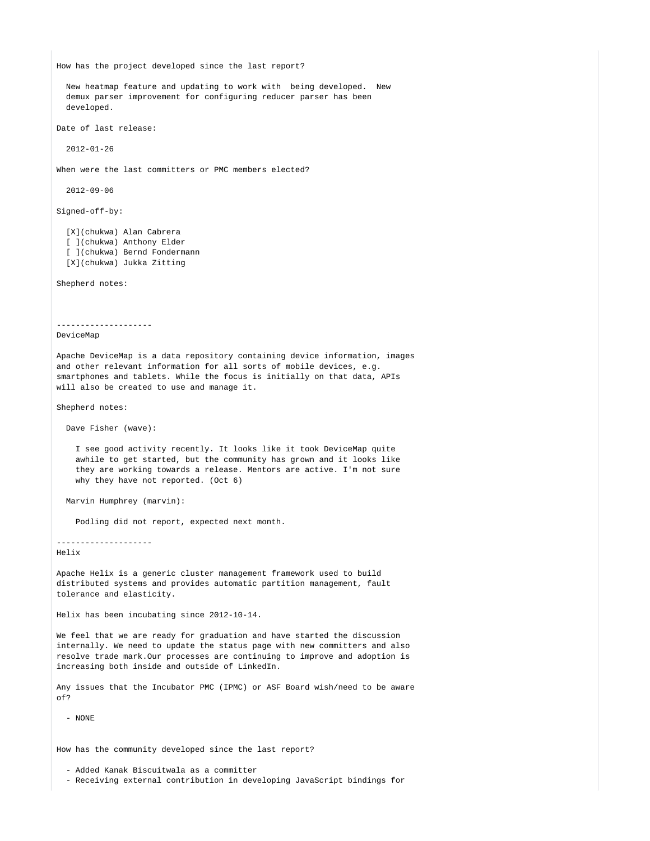How has the project developed since the last report? New heatmap feature and updating to work with being developed. New demux parser improvement for configuring reducer parser has been developed. Date of last release: 2012-01-26 When were the last committers or PMC members elected? 2012-09-06 Signed-off-by: [X](chukwa) Alan Cabrera [ ](chukwa) Anthony Elder [ ](chukwa) Bernd Fondermann [X](chukwa) Jukka Zitting Shepherd notes: -------------------- DeviceMap Apache DeviceMap is a data repository containing device information, images and other relevant information for all sorts of mobile devices, e.g. smartphones and tablets. While the focus is initially on that data, APIs will also be created to use and manage it. Shepherd notes: Dave Fisher (wave): I see good activity recently. It looks like it took DeviceMap quite awhile to get started, but the community has grown and it looks like they are working towards a release. Mentors are active. I'm not sure why they have not reported. (Oct 6) Marvin Humphrey (marvin): Podling did not report, expected next month. -------------------- Helix Apache Helix is a generic cluster management framework used to build distributed systems and provides automatic partition management, fault tolerance and elasticity. Helix has been incubating since 2012-10-14. We feel that we are ready for graduation and have started the discussion internally. We need to update the status page with new committers and also resolve trade mark.Our processes are continuing to improve and adoption is increasing both inside and outside of LinkedIn. Any issues that the Incubator PMC (IPMC) or ASF Board wish/need to be aware of? - NONE How has the community developed since the last report? - Added Kanak Biscuitwala as a committer - Receiving external contribution in developing JavaScript bindings for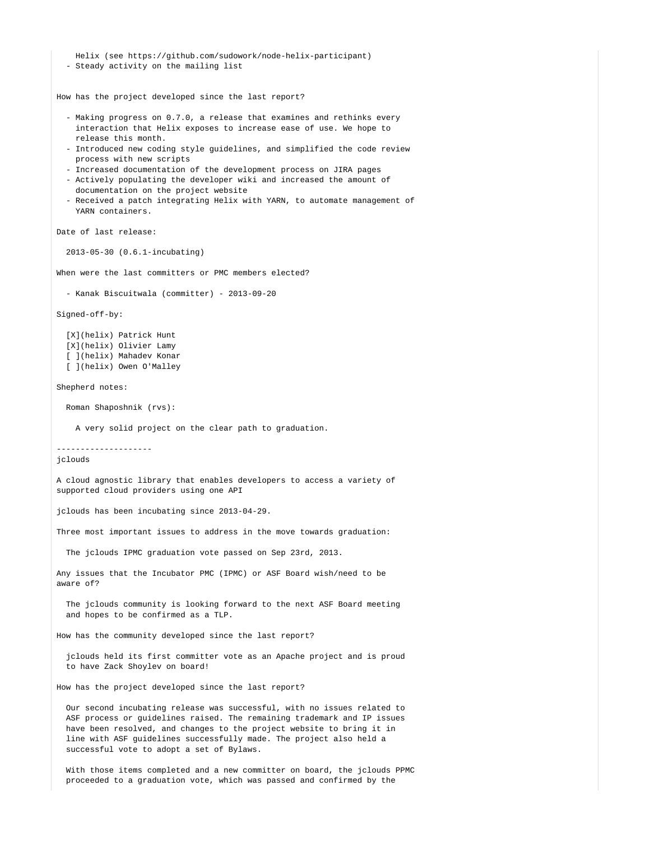Helix (see https://github.com/sudowork/node-helix-participant) - Steady activity on the mailing list

How has the project developed since the last report?

- Making progress on 0.7.0, a release that examines and rethinks every interaction that Helix exposes to increase ease of use. We hope to release this month.
- Introduced new coding style guidelines, and simplified the code review process with new scripts
- Increased documentation of the development process on JIRA pages
- Actively populating the developer wiki and increased the amount of documentation on the project website
- Received a patch integrating Helix with YARN, to automate management of YARN containers.

Date of last release:

2013-05-30 (0.6.1-incubating)

When were the last committers or PMC members elected?

```
 - Kanak Biscuitwala (committer) - 2013-09-20
```
Signed-off-by:

 [X](helix) Patrick Hunt [X](helix) Olivier Lamy [ ](helix) Mahadev Konar [ ](helix) Owen O'Malley

Shepherd notes:

Roman Shaposhnik (rvs):

A very solid project on the clear path to graduation.

--------------------

jclouds

A cloud agnostic library that enables developers to access a variety of supported cloud providers using one API

jclouds has been incubating since 2013-04-29.

Three most important issues to address in the move towards graduation:

The jclouds IPMC graduation vote passed on Sep 23rd, 2013.

Any issues that the Incubator PMC (IPMC) or ASF Board wish/need to be aware of?

 The jclouds community is looking forward to the next ASF Board meeting and hopes to be confirmed as a TLP.

How has the community developed since the last report?

 jclouds held its first committer vote as an Apache project and is proud to have Zack Shoylev on board!

How has the project developed since the last report?

 Our second incubating release was successful, with no issues related to ASF process or guidelines raised. The remaining trademark and IP issues have been resolved, and changes to the project website to bring it in line with ASF guidelines successfully made. The project also held a successful vote to adopt a set of Bylaws.

 With those items completed and a new committer on board, the jclouds PPMC proceeded to a graduation vote, which was passed and confirmed by the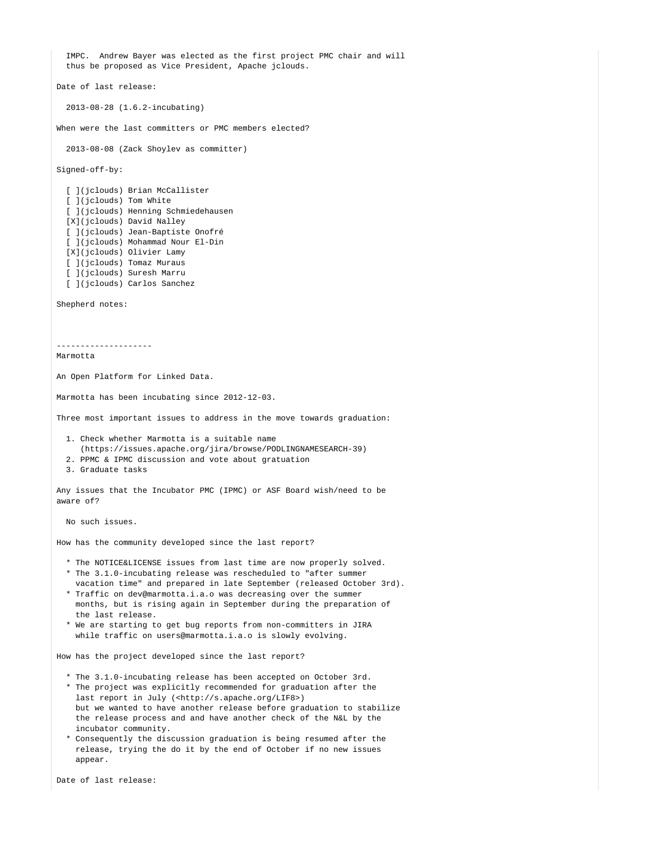IMPC. Andrew Bayer was elected as the first project PMC chair and will thus be proposed as Vice President, Apache jclouds. Date of last release: 2013-08-28 (1.6.2-incubating) When were the last committers or PMC members elected? 2013-08-08 (Zack Shoylev as committer) Signed-off-by: [ ](jclouds) Brian McCallister [ ](jclouds) Tom White [ ](jclouds) Henning Schmiedehausen [X](jclouds) David Nalley [ ](jclouds) Jean-Baptiste Onofré [ ](jclouds) Mohammad Nour El-Din [X](jclouds) Olivier Lamy [ ](jclouds) Tomaz Muraus [ ](jclouds) Suresh Marru [ ](jclouds) Carlos Sanchez Shepherd notes: -------------------- Marmotta An Open Platform for Linked Data. Marmotta has been incubating since 2012-12-03. Three most important issues to address in the move towards graduation: 1. Check whether Marmotta is a suitable name (https://issues.apache.org/jira/browse/PODLINGNAMESEARCH-39) 2. PPMC & IPMC discussion and vote about gratuation 3. Graduate tasks Any issues that the Incubator PMC (IPMC) or ASF Board wish/need to be aware of? No such issues. How has the community developed since the last report? \* The NOTICE&LICENSE issues from last time are now properly solved. \* The 3.1.0-incubating release was rescheduled to "after summer vacation time" and prepared in late September (released October 3rd). \* Traffic on dev@marmotta.i.a.o was decreasing over the summer months, but is rising again in September during the preparation of the last release. \* We are starting to get bug reports from non-committers in JIRA while traffic on users@marmotta.i.a.o is slowly evolving. How has the project developed since the last report? \* The 3.1.0-incubating release has been accepted on October 3rd. \* The project was explicitly recommended for graduation after the last report in July (<http://s.apache.org/LIF8>) but we wanted to have another release before graduation to stabilize the release process and and have another check of the N&L by the incubator community. \* Consequently the discussion graduation is being resumed after the release, trying the do it by the end of October if no new issues appear. Date of last release: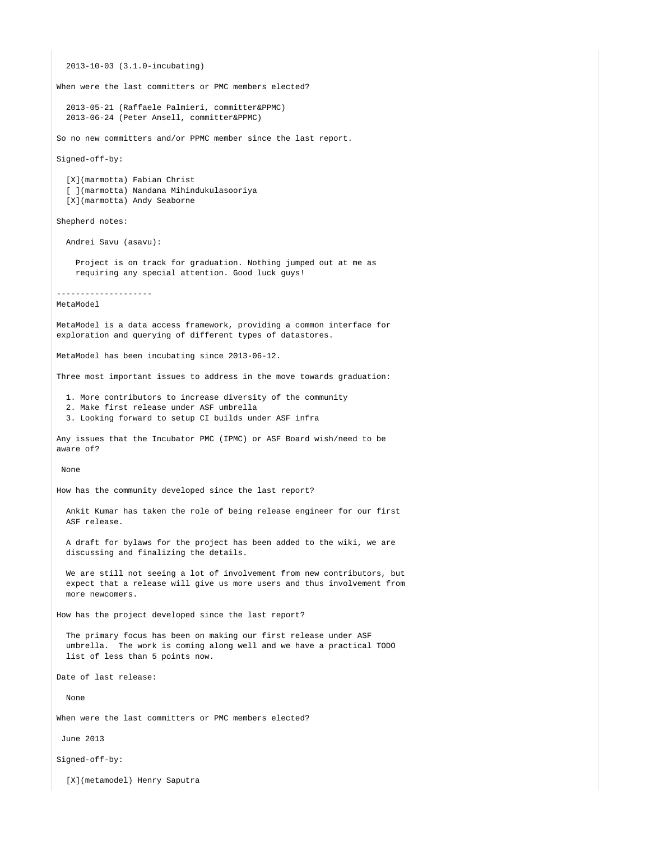2013-10-03 (3.1.0-incubating) When were the last committers or PMC members elected? 2013-05-21 (Raffaele Palmieri, committer&PPMC) 2013-06-24 (Peter Ansell, committer&PPMC) So no new committers and/or PPMC member since the last report. Signed-off-by: [X](marmotta) Fabian Christ [ ](marmotta) Nandana Mihindukulasooriya [X](marmotta) Andy Seaborne Shepherd notes: Andrei Savu (asavu): Project is on track for graduation. Nothing jumped out at me as requiring any special attention. Good luck guys! -------------------- MetaModel MetaModel is a data access framework, providing a common interface for exploration and querying of different types of datastores. MetaModel has been incubating since 2013-06-12. Three most important issues to address in the move towards graduation: 1. More contributors to increase diversity of the community 2. Make first release under ASF umbrella 3. Looking forward to setup CI builds under ASF infra Any issues that the Incubator PMC (IPMC) or ASF Board wish/need to be aware of? None How has the community developed since the last report? Ankit Kumar has taken the role of being release engineer for our first ASF release. A draft for bylaws for the project has been added to the wiki, we are discussing and finalizing the details. We are still not seeing a lot of involvement from new contributors, but expect that a release will give us more users and thus involvement from more newcomers. How has the project developed since the last report? The primary focus has been on making our first release under ASF umbrella. The work is coming along well and we have a practical TODO list of less than 5 points now. Date of last release: None When were the last committers or PMC members elected? June 2013 Signed-off-by:

[X](metamodel) Henry Saputra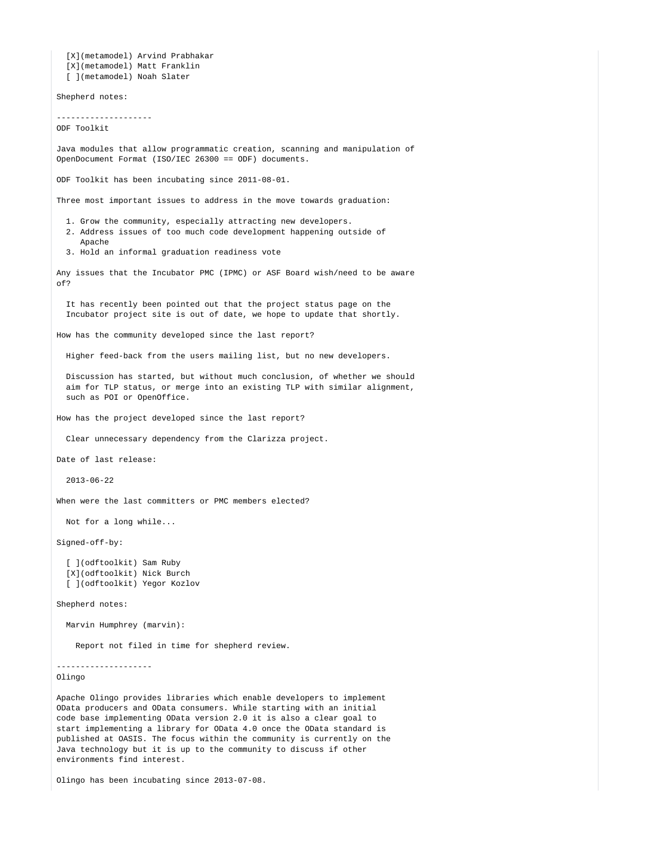[X](metamodel) Arvind Prabhakar [X](metamodel) Matt Franklin [ ](metamodel) Noah Slater Shepherd notes: -------------------- ODF Toolkit Java modules that allow programmatic creation, scanning and manipulation of OpenDocument Format (ISO/IEC 26300 == ODF) documents. ODF Toolkit has been incubating since 2011-08-01. Three most important issues to address in the move towards graduation: 1. Grow the community, especially attracting new developers. 2. Address issues of too much code development happening outside of Apache 3. Hold an informal graduation readiness vote Any issues that the Incubator PMC (IPMC) or ASF Board wish/need to be aware of? It has recently been pointed out that the project status page on the Incubator project site is out of date, we hope to update that shortly. How has the community developed since the last report? Higher feed-back from the users mailing list, but no new developers. Discussion has started, but without much conclusion, of whether we should aim for TLP status, or merge into an existing TLP with similar alignment, such as POI or OpenOffice. How has the project developed since the last report? Clear unnecessary dependency from the Clarizza project. Date of last release: 2013-06-22 When were the last committers or PMC members elected? Not for a long while... Signed-off-by: [ ](odftoolkit) Sam Ruby [X](odftoolkit) Nick Burch [ ](odftoolkit) Yegor Kozlov Shepherd notes: Marvin Humphrey (marvin): Report not filed in time for shepherd review. -------------------- Olingo Apache Olingo provides libraries which enable developers to implement OData producers and OData consumers. While starting with an initial code base implementing OData version 2.0 it is also a clear goal to start implementing a library for OData 4.0 once the OData standard is published at OASIS. The focus within the community is currently on the

Olingo has been incubating since 2013-07-08.

environments find interest.

Java technology but it is up to the community to discuss if other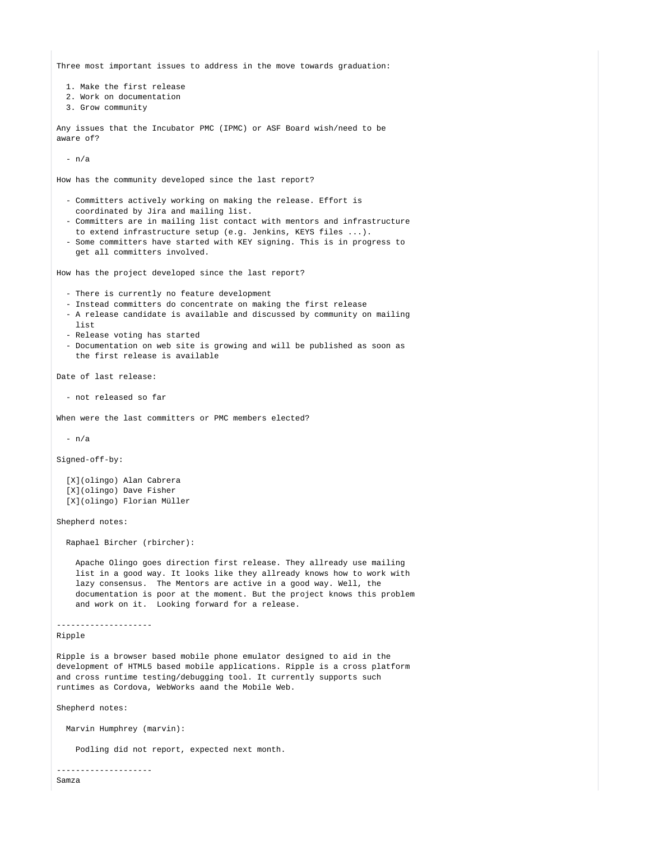Three most important issues to address in the move towards graduation:

1. Make the first release

2. Work on documentation

3. Grow community

Any issues that the Incubator PMC (IPMC) or ASF Board wish/need to be aware of?

- n/a

How has the community developed since the last report?

- Committers actively working on making the release. Effort is coordinated by Jira and mailing list.
- Committers are in mailing list contact with mentors and infrastructure to extend infrastructure setup (e.g. Jenkins, KEYS files ...).
- Some committers have started with KEY signing. This is in progress to get all committers involved.

How has the project developed since the last report?

- There is currently no feature development
- Instead committers do concentrate on making the first release
- A release candidate is available and discussed by community on mailing list
- Release voting has started
- Documentation on web site is growing and will be published as soon as the first release is available

Date of last release:

- not released so far

When were the last committers or PMC members elected?

- n/a

Signed-off-by:

 [X](olingo) Alan Cabrera [X](olingo) Dave Fisher [X](olingo) Florian Müller

Shepherd notes:

Raphael Bircher (rbircher):

 Apache Olingo goes direction first release. They allready use mailing list in a good way. It looks like they allready knows how to work with lazy consensus. The Mentors are active in a good way. Well, the documentation is poor at the moment. But the project knows this problem and work on it. Looking forward for a release.

--------------------

Ripple

Ripple is a browser based mobile phone emulator designed to aid in the development of HTML5 based mobile applications. Ripple is a cross platform and cross runtime testing/debugging tool. It currently supports such runtimes as Cordova, WebWorks aand the Mobile Web.

Shepherd notes:

--------------------

Marvin Humphrey (marvin):

Podling did not report, expected next month.

Samza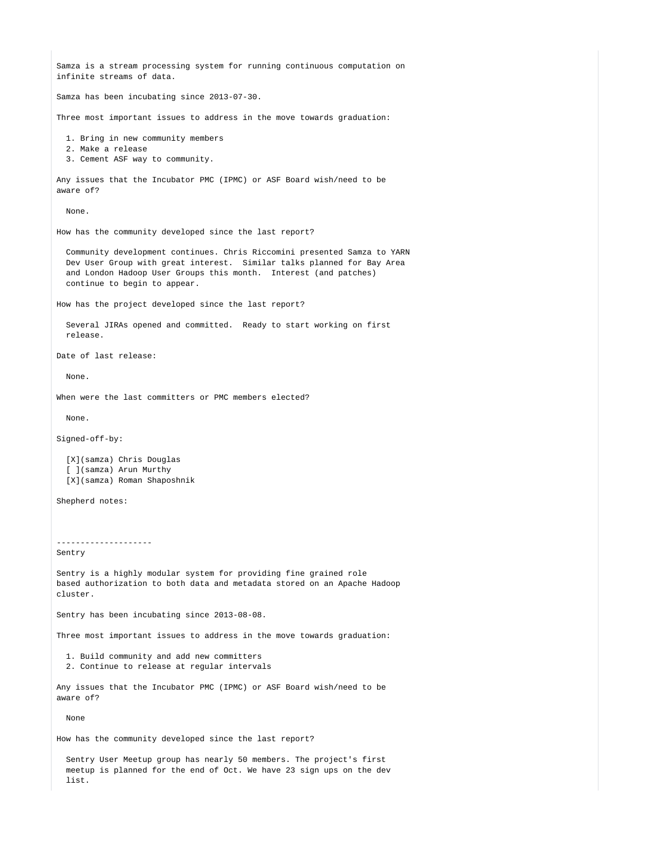Samza is a stream processing system for running continuous computation on infinite streams of data. Samza has been incubating since 2013-07-30. Three most important issues to address in the move towards graduation: 1. Bring in new community members 2. Make a release 3. Cement ASF way to community. Any issues that the Incubator PMC (IPMC) or ASF Board wish/need to be aware of? None. How has the community developed since the last report? Community development continues. Chris Riccomini presented Samza to YARN Dev User Group with great interest. Similar talks planned for Bay Area and London Hadoop User Groups this month. Interest (and patches) continue to begin to appear. How has the project developed since the last report? Several JIRAs opened and committed. Ready to start working on first release. Date of last release: None. When were the last committers or PMC members elected? None. Signed-off-by: [X](samza) Chris Douglas [ ](samza) Arun Murthy [X](samza) Roman Shaposhnik Shepherd notes: -------------------- Sentry Sentry is a highly modular system for providing fine grained role based authorization to both data and metadata stored on an Apache Hadoop cluster. Sentry has been incubating since 2013-08-08. Three most important issues to address in the move towards graduation: 1. Build community and add new committers 2. Continue to release at regular intervals Any issues that the Incubator PMC (IPMC) or ASF Board wish/need to be aware of? None How has the community developed since the last report? Sentry User Meetup group has nearly 50 members. The project's first meetup is planned for the end of Oct. We have 23 sign ups on the dev

list.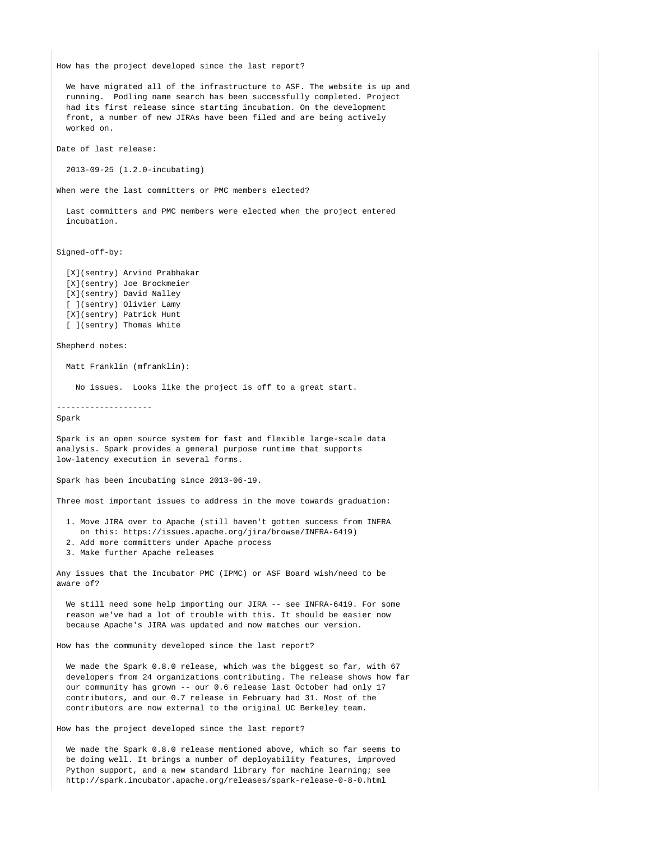How has the project developed since the last report?

 We have migrated all of the infrastructure to ASF. The website is up and running. Podling name search has been successfully completed. Project had its first release since starting incubation. On the development front, a number of new JIRAs have been filed and are being actively worked on.

Date of last release:

2013-09-25 (1.2.0-incubating)

When were the last committers or PMC members elected?

 Last committers and PMC members were elected when the project entered incubation.

Signed-off-by:

 [X](sentry) Arvind Prabhakar [X](sentry) Joe Brockmeier [X](sentry) David Nalley [ ](sentry) Olivier Lamy [X](sentry) Patrick Hunt [ ](sentry) Thomas White

#### Shepherd notes:

Matt Franklin (mfranklin):

No issues. Looks like the project is off to a great start.

--------------------

Spark

Spark is an open source system for fast and flexible large-scale data analysis. Spark provides a general purpose runtime that supports low-latency execution in several forms.

Spark has been incubating since 2013-06-19.

Three most important issues to address in the move towards graduation:

- 1. Move JIRA over to Apache (still haven't gotten success from INFRA on this: https://issues.apache.org/jira/browse/INFRA-6419)
- 2. Add more committers under Apache process
- 3. Make further Apache releases

Any issues that the Incubator PMC (IPMC) or ASF Board wish/need to be aware of?

We still need some help importing our JIRA -- see INFRA-6419. For some reason we've had a lot of trouble with this. It should be easier now because Apache's JIRA was updated and now matches our version.

How has the community developed since the last report?

We made the Spark 0.8.0 release, which was the biggest so far, with 67 developers from 24 organizations contributing. The release shows how far our community has grown -- our 0.6 release last October had only 17 contributors, and our 0.7 release in February had 31. Most of the contributors are now external to the original UC Berkeley team.

How has the project developed since the last report?

 We made the Spark 0.8.0 release mentioned above, which so far seems to be doing well. It brings a number of deployability features, improved Python support, and a new standard library for machine learning; see http://spark.incubator.apache.org/releases/spark-release-0-8-0.html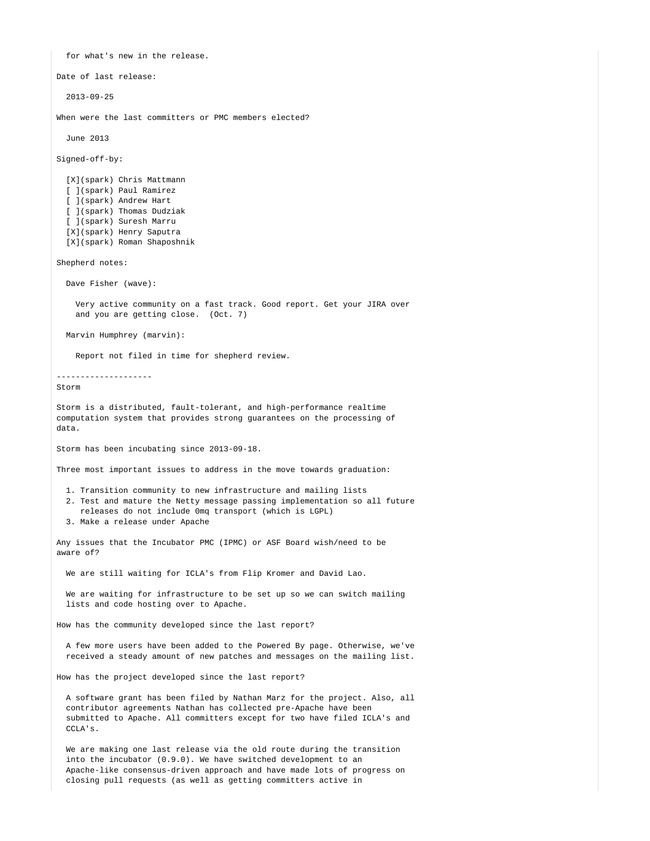for what's new in the release. Date of last release: 2013-09-25 When were the last committers or PMC members elected? June 2013 Signed-off-by: [X](spark) Chris Mattmann [ ](spark) Paul Ramirez [ ](spark) Andrew Hart [ ](spark) Thomas Dudziak [ ](spark) Suresh Marru [X](spark) Henry Saputra [X](spark) Roman Shaposhnik Shepherd notes: Dave Fisher (wave): Very active community on a fast track. Good report. Get your JIRA over and you are getting close. (Oct. 7) Marvin Humphrey (marvin): Report not filed in time for shepherd review. -------------------- Storm Storm is a distributed, fault-tolerant, and high-performance realtime computation system that provides strong guarantees on the processing of data. Storm has been incubating since 2013-09-18. Three most important issues to address in the move towards graduation: 1. Transition community to new infrastructure and mailing lists 2. Test and mature the Netty message passing implementation so all future releases do not include 0mq transport (which is LGPL) 3. Make a release under Apache Any issues that the Incubator PMC (IPMC) or ASF Board wish/need to be aware of? We are still waiting for ICLA's from Flip Kromer and David Lao. We are waiting for infrastructure to be set up so we can switch mailing lists and code hosting over to Apache. How has the community developed since the last report? A few more users have been added to the Powered By page. Otherwise, we've received a steady amount of new patches and messages on the mailing list. How has the project developed since the last report? A software grant has been filed by Nathan Marz for the project. Also, all contributor agreements Nathan has collected pre-Apache have been submitted to Apache. All committers except for two have filed ICLA's and CCLA's. We are making one last release via the old route during the transition into the incubator (0.9.0). We have switched development to an Apache-like consensus-driven approach and have made lots of progress on closing pull requests (as well as getting committers active in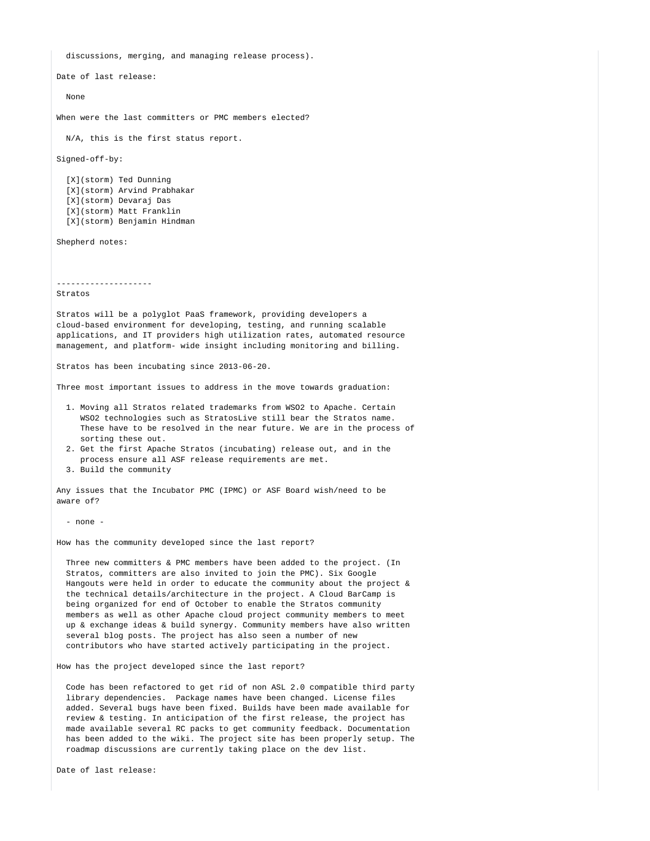Date of last release: None When were the last committers or PMC members elected? N/A, this is the first status report. Signed-off-by: [X](storm) Ted Dunning [X](storm) Arvind Prabhakar [X](storm) Devaraj Das [X](storm) Matt Franklin [X](storm) Benjamin Hindman Shepherd notes: -------------------- Stratos Stratos will be a polyglot PaaS framework, providing developers a cloud-based environment for developing, testing, and running scalable applications, and IT providers high utilization rates, automated resource management, and platform- wide insight including monitoring and billing. Stratos has been incubating since 2013-06-20. Three most important issues to address in the move towards graduation: 1. Moving all Stratos related trademarks from WSO2 to Apache. Certain WSO2 technologies such as StratosLive still bear the Stratos name. These have to be resolved in the near future. We are in the process of sorting these out. 2. Get the first Apache Stratos (incubating) release out, and in the process ensure all ASF release requirements are met. 3. Build the community Any issues that the Incubator PMC (IPMC) or ASF Board wish/need to be aware of? - none - How has the community developed since the last report? Three new committers & PMC members have been added to the project. (In Stratos, committers are also invited to join the PMC). Six Google Hangouts were held in order to educate the community about the project  $\&$  the technical details/architecture in the project. A Cloud BarCamp is being organized for end of October to enable the Stratos community members as well as other Apache cloud project community members to meet up & exchange ideas & build synergy. Community members have also written several blog posts. The project has also seen a number of new contributors who have started actively participating in the project. How has the project developed since the last report? Code has been refactored to get rid of non ASL 2.0 compatible third party library dependencies. Package names have been changed. License files added. Several bugs have been fixed. Builds have been made available for review & testing. In anticipation of the first release, the project has

 made available several RC packs to get community feedback. Documentation has been added to the wiki. The project site has been properly setup. The

roadmap discussions are currently taking place on the dev list.

discussions, merging, and managing release process).

Date of last release: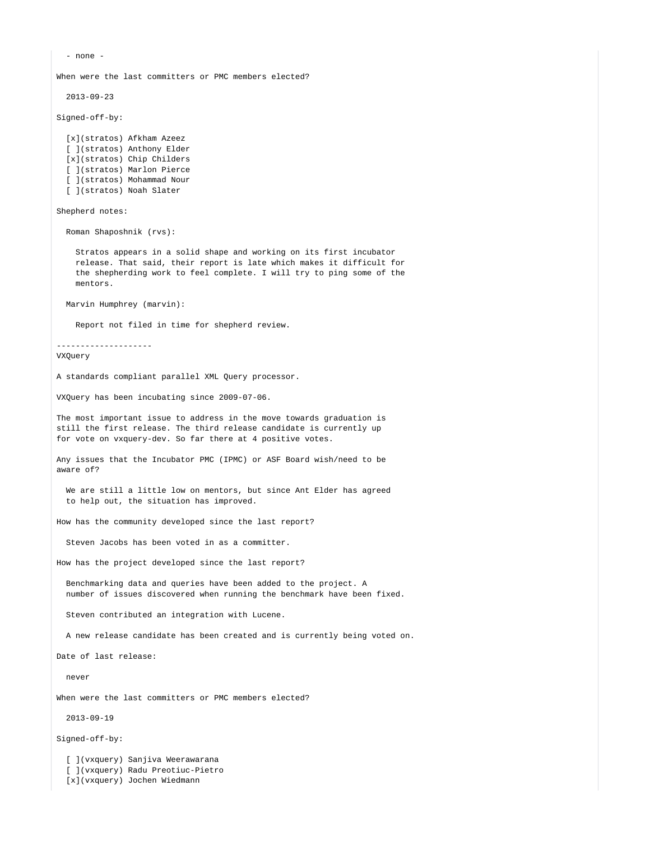- none - When were the last committers or PMC members elected? 2013-09-23 Signed-off-by: [x](stratos) Afkham Azeez [ ](stratos) Anthony Elder [x](stratos) Chip Childers [ ](stratos) Marlon Pierce [ ](stratos) Mohammad Nour [ ](stratos) Noah Slater Shepherd notes: Roman Shaposhnik (rvs): Stratos appears in a solid shape and working on its first incubator release. That said, their report is late which makes it difficult for the shepherding work to feel complete. I will try to ping some of the mentors. Marvin Humphrey (marvin): Report not filed in time for shepherd review. -------------------- VXQuery A standards compliant parallel XML Query processor. VXQuery has been incubating since 2009-07-06. The most important issue to address in the move towards graduation is still the first release. The third release candidate is currently up for vote on vxquery-dev. So far there at 4 positive votes. Any issues that the Incubator PMC (IPMC) or ASF Board wish/need to be aware of? We are still a little low on mentors, but since Ant Elder has agreed to help out, the situation has improved. How has the community developed since the last report? Steven Jacobs has been voted in as a committer. How has the project developed since the last report? Benchmarking data and queries have been added to the project. A number of issues discovered when running the benchmark have been fixed. Steven contributed an integration with Lucene. A new release candidate has been created and is currently being voted on. Date of last release: never When were the last committers or PMC members elected? 2013-09-19 Signed-off-by: [ ](vxquery) Sanjiva Weerawarana [ ](vxquery) Radu Preotiuc-Pietro

[x](vxquery) Jochen Wiedmann